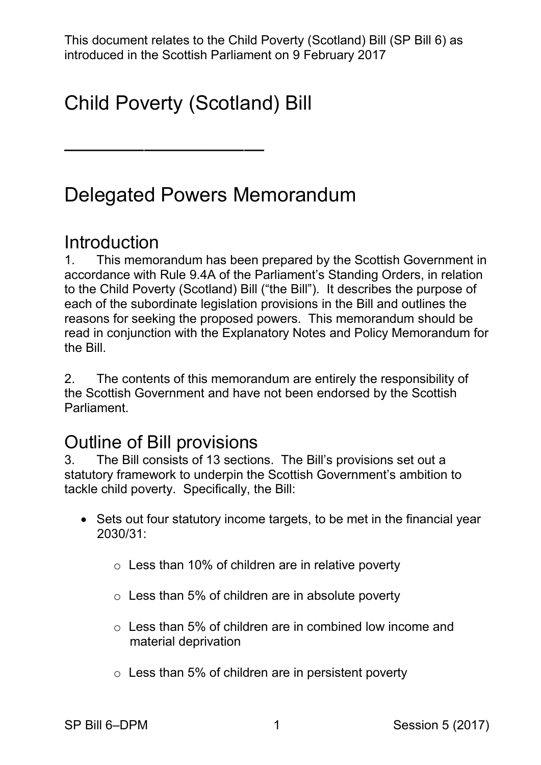This document relates to the Child Poverty (Scotland) Bill (SP Bill 6) as introduced in the Scottish Parliament on 9 February 2017

# Child Poverty (Scotland) Bill

——————————

## Delegated Powers Memorandum

#### **Introduction**

 1. This memorandum has been prepared by the Scottish Government in to the Child Poverty (Scotland) Bill ("the Bill"). It describes the purpose of each of the subordinate legislation provisions in the Bill and outlines the reasons for seeking the proposed powers. This memorandum should be read in conjunction with the Explanatory Notes and Policy Memorandum for accordance with Rule 9.4A of the Parliament's Standing Orders, in relation the Bill.

2. The contents of this memorandum are entirely the responsibility of the Scottish Government and have not been endorsed by the Scottish Parliament.

### Outline of Bill provisions

 statutory framework to underpin the Scottish Government's ambition to tackle child poverty. Specifically, the Bill: 3. The Bill consists of 13 sections. The Bill's provisions set out a

- • Sets out four statutory income targets, to be met in the financial year 2030/31:
	- $\circ$  Less than 10% of children are in relative poverty
	- $\circ$  Less than 5% of children are in absolute poverty
	- $\circ$  Less than 5% of children are in combined low income and material deprivation
	- $\circ$  Less than 5% of children are in persistent poverty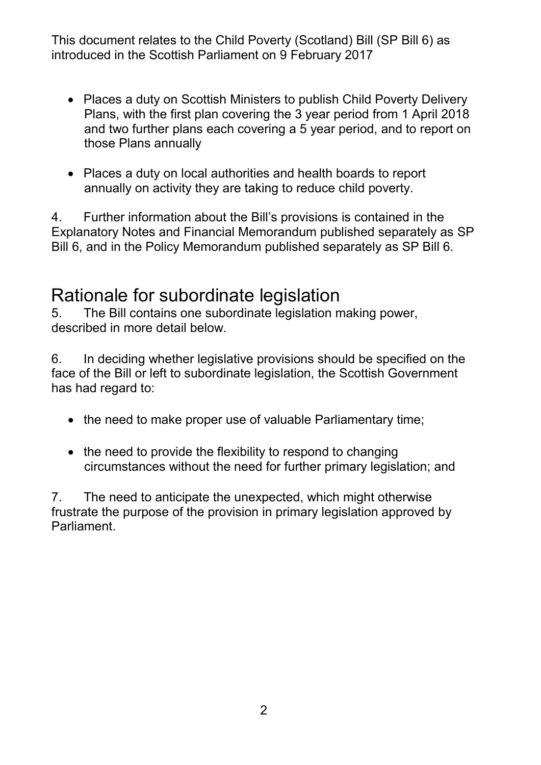- • Places a duty on Scottish Ministers to publish Child Poverty Delivery Plans, with the first plan covering the 3 year period from 1 April 2018 and two further plans each covering a 5 year period, and to report on those Plans annually
- annually on activity they are taking to reduce child poverty. • Places a duty on local authorities and health boards to report

4. Further information about the Bill's provisions is contained in the Explanatory Notes and Financial Memorandum published separately as SP Bill 6, and in the Policy Memorandum published separately as SP Bill 6.

#### Rationale for subordinate legislation

described in more detail below. 5. The Bill contains one subordinate legislation making power,

described in more detail below.<br>6. In deciding whether legislative provisions should be specified on the face of the Bill or left to subordinate legislation, the Scottish Government has had regard to:

- the need to make proper use of valuable Parliamentary time;
- the need to provide the flexibility to respond to changing circumstances without the need for further primary legislation; and

Parliament. 7. The need to anticipate the unexpected, which might otherwise frustrate the purpose of the provision in primary legislation approved by Parliament.<br>2016 - Parliament States<br>2016 - Parliament States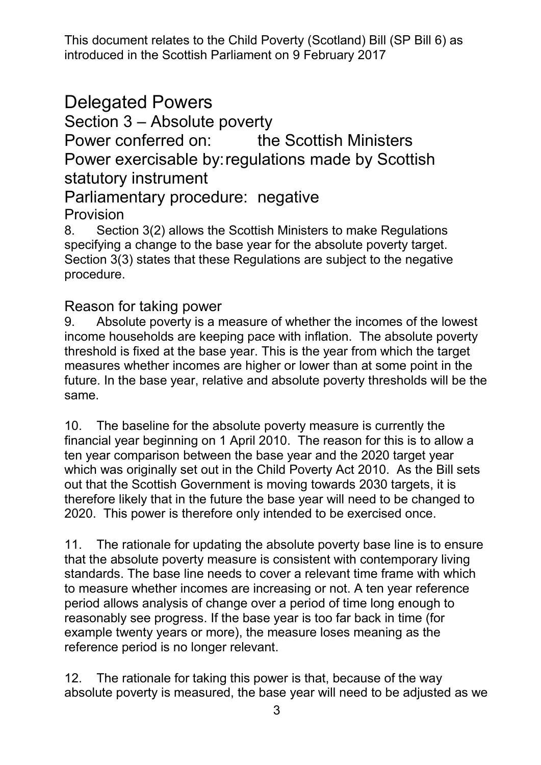### Delegated Powers

Section 3 – Absolute poverty

Power conferred on: Power exercisable by:regulations made by Scottish the Scottish Ministers statutory instrument

## Parliamentary procedure: negative

#### Provision

 8. Section 3(2) allows the Scottish Ministers to make Regulations specifying a change to the base year for the absolute poverty target. Section 3(3) states that these Regulations are subject to the negative procedure.

#### Reason for taking power

 9. Absolute poverty is a measure of whether the incomes of the lowest income households are keeping pace with inflation. The absolute poverty threshold is fixed at the base year. This is the year from which the target measures whether incomes are higher or lower than at some point in the future. In the base year, relative and absolute poverty thresholds will be the same.

 financial year beginning on 1 April 2010. The reason for this is to allow a ten year comparison between the base year and the 2020 target year which was originally set out in the Child Poverty Act 2010. As the Bill sets out that the Scottish Government is moving towards 2030 targets, it is therefore likely that in the future the base year will need to be changed to 2020. This power is therefore only intended to be exercised once. 10. The baseline for the absolute poverty measure is currently the

 standards. The base line needs to cover a relevant time frame with which to measure whether incomes are increasing or not. A ten year reference period allows analysis of change over a period of time long enough to example twenty years or more), the measure loses meaning as the 11. The rationale for updating the absolute poverty base line is to ensure that the absolute poverty measure is consistent with contemporary living reasonably see progress. If the base year is too far back in time (for reference period is no longer relevant.

 absolute poverty is measured, the base year will need to be adjusted as we 12. The rationale for taking this power is that, because of the way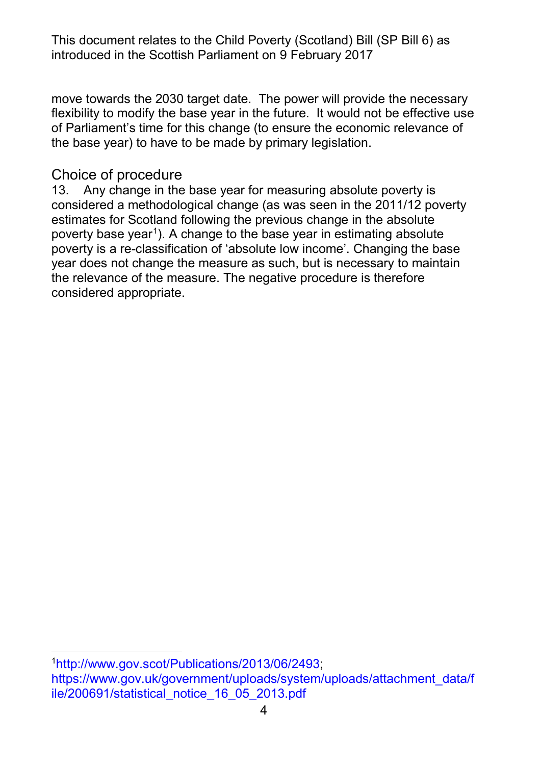move towards the 2030 target date. The power will provide the necessary flexibility to modify the base year in the future. It would not be effective use of Parliament's time for this change (to ensure the economic relevance of the base year) to have to be made by primary legislation.

#### Choice of procedure

-

 13. Any change in the base year for measuring absolute poverty is considered a methodological change (as was seen in the 2011/12 poverty poverty base year<sup>[1](#page-3-0)</sup>). A change to the base year in estimating absolute poverty is a re-classification of 'absolute low income'. Changing the base the relevance of the measure. The negative procedure is therefore estimates for Scotland following the previous change in the absolute year does not change the measure as such, but is necessary to maintain considered appropriate.

<span id="page-3-0"></span>[<sup>1</sup>http://www.gov.scot/Publications/2013/06/2493;](http://www.gov.scot/Publications/2013/06/2493) [https://www.gov.uk/government/uploads/system/uploads/attachment\\_data/f](https://www.gov.uk/government/uploads/system/uploads/attachment_data/file/200691/statistical_notice_16_05_2013.pdf)  [ile/200691/statistical\\_notice\\_16\\_05\\_2013.pdf](https://www.gov.uk/government/uploads/system/uploads/attachment_data/file/200691/statistical_notice_16_05_2013.pdf)